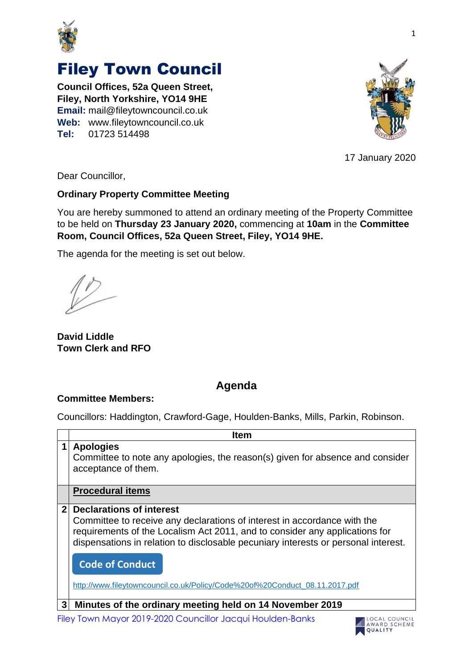

## Filey Town Council

**Council Offices, 52a Queen Street, Filey, North Yorkshire, YO14 9HE Email:** mail@fileytowncouncil.co.uk **Web:** www.fileytowncouncil.co.uk **Tel:** 01723 514498



17 January 2020

Dear Councillor,

## **Ordinary Property Committee Meeting**

You are hereby summoned to attend an ordinary meeting of the Property Committee to be held on **Thursday 23 January 2020,** commencing at **10am** in the **Committee Room, Council Offices, 52a Queen Street, Filey, YO14 9HE.**

The agenda for the meeting is set out below.

**David Liddle Town Clerk and RFO**

## **Agenda**

## **Committee Members:**

Councillors: Haddington, Crawford-Gage, Houlden-Banks, Mills, Parkin, Robinson.

|              | Item                                                                                                                                                                                                                                                                                                                                                                                      |
|--------------|-------------------------------------------------------------------------------------------------------------------------------------------------------------------------------------------------------------------------------------------------------------------------------------------------------------------------------------------------------------------------------------------|
| 1            | <b>Apologies</b><br>Committee to note any apologies, the reason(s) given for absence and consider<br>acceptance of them.                                                                                                                                                                                                                                                                  |
|              | <b>Procedural items</b>                                                                                                                                                                                                                                                                                                                                                                   |
| $\mathbf{2}$ | <b>Declarations of interest</b><br>Committee to receive any declarations of interest in accordance with the<br>requirements of the Localism Act 2011, and to consider any applications for<br>dispensations in relation to disclosable pecuniary interests or personal interest.<br><b>Code of Conduct</b><br>http://www.fileytowncouncil.co.uk/Policy/Code%20of%20Conduct_08.11.2017.pdf |
| 3            | Minutes of the ordinary meeting held on 14 November 2019                                                                                                                                                                                                                                                                                                                                  |

Filey Town Mayor 2019-2020 Councillor Jacqui Houlden-Banks

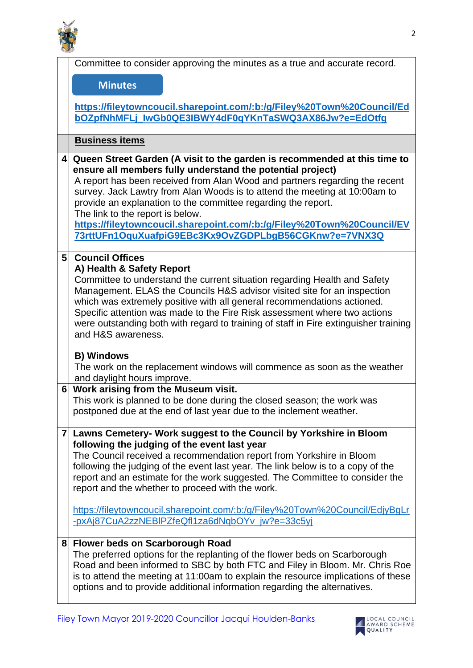

|                | Committee to consider approving the minutes as a true and accurate record.                                                                                     |
|----------------|----------------------------------------------------------------------------------------------------------------------------------------------------------------|
|                | <b>Minutes</b>                                                                                                                                                 |
|                |                                                                                                                                                                |
|                | https://fileytowncoucil.sharepoint.com/:b:/g/Filey%20Town%20Council/Ed                                                                                         |
|                | bOZpfNhMFLj_lwGb0QE3IBWY4dF0qYKnTaSWQ3AX86Jw?e=EdOtfg                                                                                                          |
|                | <b>Business items</b>                                                                                                                                          |
|                |                                                                                                                                                                |
| 4              | Queen Street Garden (A visit to the garden is recommended at this time to<br>ensure all members fully understand the potential project)                        |
|                | A report has been received from Alan Wood and partners regarding the recent                                                                                    |
|                | survey. Jack Lawtry from Alan Woods is to attend the meeting at 10:00am to                                                                                     |
|                | provide an explanation to the committee regarding the report.                                                                                                  |
|                | The link to the report is below.<br>https://fileytowncoucil.sharepoint.com/:b:/g/Filey%20Town%20Council/EV                                                     |
|                | 73rttUFn1OquXuafpiG9EBc3Kx9OvZGDPLbgB56CGKnw?e=7VNX3Q                                                                                                          |
|                |                                                                                                                                                                |
| 5 <sup>1</sup> | <b>Council Offices</b>                                                                                                                                         |
|                | A) Health & Safety Report<br>Committee to understand the current situation regarding Health and Safety                                                         |
|                | Management. ELAS the Councils H&S advisor visited site for an inspection                                                                                       |
|                | which was extremely positive with all general recommendations actioned.                                                                                        |
|                | Specific attention was made to the Fire Risk assessment where two actions                                                                                      |
|                | were outstanding both with regard to training of staff in Fire extinguisher training<br>and H&S awareness.                                                     |
|                |                                                                                                                                                                |
|                | <b>B) Windows</b>                                                                                                                                              |
|                | The work on the replacement windows will commence as soon as the weather<br>and daylight hours improve.                                                        |
| 6 <sup>1</sup> | Work arising from the Museum visit.                                                                                                                            |
|                | This work is planned to be done during the closed season; the work was                                                                                         |
|                | postponed due at the end of last year due to the inclement weather.                                                                                            |
| $\mathbf{7}$   | Lawns Cemetery- Work suggest to the Council by Yorkshire in Bloom                                                                                              |
|                | following the judging of the event last year                                                                                                                   |
|                | The Council received a recommendation report from Yorkshire in Bloom                                                                                           |
|                | following the judging of the event last year. The link below is to a copy of the                                                                               |
|                | report and an estimate for the work suggested. The Committee to consider the<br>report and the whether to proceed with the work.                               |
|                |                                                                                                                                                                |
|                | https://fileytowncoucil.sharepoint.com/:b:/g/Filey%20Town%20Council/EdjyBgLr                                                                                   |
|                | -pxAj87CuA2zzNEBIPZfeQfl1za6dNqbOYv_jw?e=33c5yj                                                                                                                |
| 8              | <b>Flower beds on Scarborough Road</b>                                                                                                                         |
|                | The preferred options for the replanting of the flower beds on Scarborough                                                                                     |
|                | Road and been informed to SBC by both FTC and Filey in Bloom. Mr. Chris Roe                                                                                    |
|                | is to attend the meeting at 11:00am to explain the resource implications of these<br>options and to provide additional information regarding the alternatives. |
|                |                                                                                                                                                                |
|                |                                                                                                                                                                |